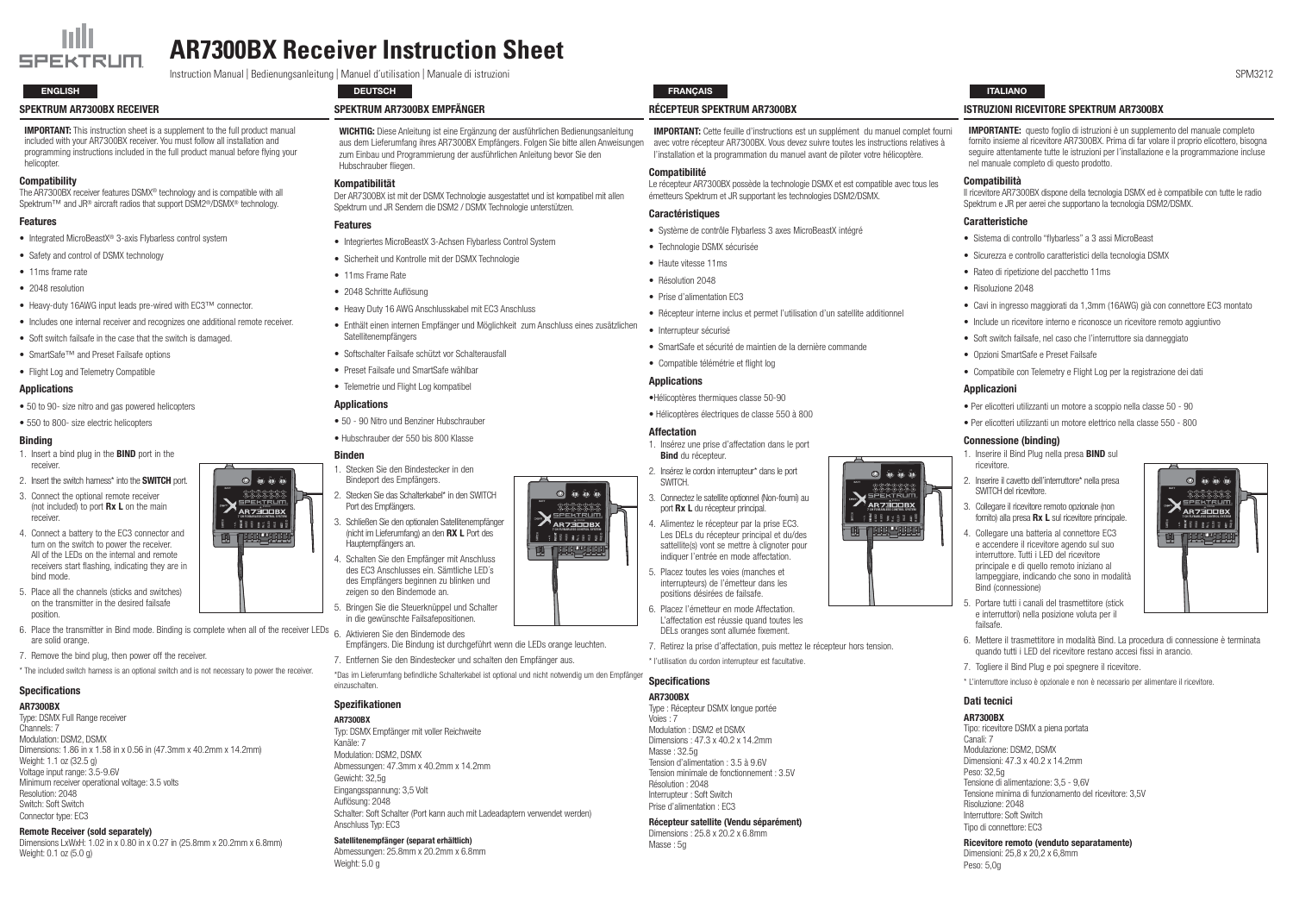#### Spektrum AR7300BX Receiver

**IMPORTANT:** This instruction sheet is a supplement to the full product manual included with your AR7300BX receiver. You must follow all installation and programming instructions included in the full product manual before flying your heliconter

#### **Compatibility**

The AR7300BX receiver features DSMX® technology and is compatible with all Spektrum<sup>™</sup> and JR<sup>®</sup> aircraft radios that support DSM2<sup>®</sup>/DSMX<sup>®</sup> technology.

#### Features

- Integrated MicroBeastX<sup>®</sup> 3-axis Flybarless control system
- Safety and control of DSMX technology
- 11ms frame rate
- 2048 resolution
- • Heavy-duty 16AWG input leads pre-wired with EC3™ connector.
- Includes one internal receiver and recognizes one additional remote receiver.
- Soft switch failsafe in the case that the switch is damaged.
- SmartSafe™ and Preset Failsafe options
- Flight Log and Telemetry Compatible

- 1. Insert a bind plug in the **BIND** port in the receiver.
- 2. Insert the switch harness\* into the **SWITCH** port.
- 3. Connect the optional remote receiver (not included) to port  $Rx L$  on the main receiver.
- 4. Connect a battery to the EC3 connector and turn on the switch to power the receiver. All of the LEDs on the internal and remote receivers start flashing, indicating they are in bind mode.
- 5. Place all the channels (sticks and switches) on the transmitter in the desired failsafe position.
- 6. Place the transmitter in Bind mode. Binding is complete when all of the receiver LEDs  $6.$  Aktivieren Sie den Bindemode des are solid orange.
- 7. Remove the bind plug, then power off the receiver.
- \* The included switch harness is an optional switch and is not necessary to power the receiver.

## **Specifications**

#### Applications

- 50 to 90- size nitro and gas powered helicopters
- 550 to 800- size electric helicopters

#### Binding

WICHTIG: Diese Anleitung ist eine Ergänzung der ausführlichen Bedienungsanleitung aus dem Lieferumfang ihres AR7300BX Empfängers. Folgen Sie bitte allen Anweisungen zum Einbau und Programmierung der ausführlichen Anleitung bevor Sie den Hubschrauber fliegen.

- 50 90 Nitro und Benziner Hubschrauber
- Hubschrauber der 550 bis 800 Klasse

#### AR7300BX

Type: DSMX Full Range receiver Channels: 7 Modulation: DSM2, DSMX Dimensions: 1.86 in x 1.58 in x 0.56 in (47.3mm x 40.2mm x 14.2mm) Weight: 1.1 oz (32.5 g) Voltage input range: 3.5-9.6V Minimum receiver operational voltage: 3.5 volts Resolution: 2048 Switch: Soft Switch Connector type: EC3

#### Remote Receiver (sold separately)

Dimensions LxWxH: 1.02 in x 0.80 in x 0.27 in (25.8mm x 20.2mm x 6.8mm) Weight: 0.1 oz (5.0 g)

Abmessungen: 25.8mm x 20.2mm x 6.8mm Weight: 5.0 g

Spektrum AR7300BX Empfänger

#### Kompatibilität

Der AR7300BX ist mit der DSMX Technologie ausgestattet und ist kompatibel mit allen Spektrum und JR Sendern die DSM2 / DSMX Technologie unterstützen.

#### Features

- Integriertes MicroBeastX 3-Achsen Flybarless Control System
- Sicherheit und Kontrolle mit der DSMX Technologie
- 11ms Frame Rate
- 2048 Schritte Auflösung
- Heavy Duty 16 AWG Anschlusskabel mit FC3 Anschluss
- Enthält einen internen Empfänger und Möglichkeit zum Anschluss eines zusätzlichen Satellitenempfängers
- Softschalter Failsafe schützt vor Schalterausfall
- Preset Failsafe und SmartSafe wählbar
- Telemetrie und Flight Log kompatibel

#### **Applications**

#### Binden

**MPORTANTE:** questo foglio di istruzioni è un supplemento del manuale completo fornito insieme al ricevitore AR7300BX. Prima di far volare il proprio elicottero, bisogna seguire attentamente tutte le istruzioni per l'installazione e la programmazione incluse nel manuale completo di questo prodotto.

#### ompatibilità

ricevitore AR7300BX dispone della tecnologia DSMX ed è compatibile con tutte le radio bektrum e JR per aerei che supportano la tecnologia DSM2/DSMX.

#### aratteristiche

- Sistema di controllo "flybarless" a 3 assi MicroBeast
- Sicurezza e controllo caratteristici della tecnologia DSMX
- Rateo di ripetizione del pacchetto 11ms
- Risoluzione 2048
- Cavi in ingresso maggiorati da 1,3mm (16AWG) già con connettore EC3 montato
- Include un ricevitore interno e riconosce un ricevitore remoto aggiuntivo
- Soft switch failsafe, nel caso che l'interruttore sia danneggiato
- Opzioni SmartSafe e Preset Failsafe
- Compatibile con Telemetry e Flight Log per la registrazione dei dati

#### oplicazioni

- Empfängers. Die Bindung ist durchgeführt wenn die LEDs orange leuchten.
- 

\*Das im Lieferumfang befindliche Schalterkabel ist optional und nicht notwendig um den Empfänger einzuschalten.

#### Spezifikationen

- Inserire il Bind Plug nella presa **BIND** sul ricevitore.
- 2. Inserire il cavetto dell'interruttore\* nella presa SWITCH del ricevitore.
- 3. Collegare il ricevitore remoto opzionale (non fornito) alla presa  $Rx L$  sul ricevitore principale.
- Collegare una batteria al connettore EC3 e accendere il ricevitore agendo sul suo interruttore. Tutti i LED del ricevitore principale e di quello remoto iniziano al lampeggiare, indicando che sono in modalità Bind (connessione)
- Portare tutti i canali del trasmettitore (stick e interruttori) nella posizione voluta per il failsafe.

AR7300BX Typ: DSMX Empfänger mit voller Reichweite Kanäle: 7 Modulation: DSM2, DSMX Abmessungen: 47.3mm x 40.2mm x 14.2mm Gewicht: 32,5g Eingangsspannung: 3,5 Volt Auflösung: 2048 Schalter: Soft Schalter (Port kann auch mit Ladeadaptern verwendet werden) Anschluss Typ: EC3

#### Satellitenempfänger (separat erhältlich)

#### Récepteur Spektrum AR7300BX

po: ricevitore DSMX a piena portata anali<sup>.</sup> 7 odulazione: DSM2, DSMX imensioni:  $47.3 \times 40.2 \times 14.2$ mm Peso: 32,5g Tensione di alimentazione: 3,5 - 9,6V Tensione minima di funzionamento del ricevitore: 3,5V Risoluzione: 2048 Interruttore: Soft Switch Tipo di connettore: EC3

b b b b b b b 7 CH FLYBARLESS CONTROL SYSTEM

- -

SWITCH<br>AUXIX SE AUXIX SE AUXIX SE AUXIX SE AUXIX SE AUXIX SE AUXIX SE AUXIX SE AUXIX SE AUXIX SE AUXIX SE AUXIX<br>SWITCH SE AUXIX SE AUXIX SE AUXIX SE AUXIX SE AUXIX SE AUXIX SE AUXIX SE AUXIX SE AUXIX SE AUXIX SE AUXIX SE A **THE THE PERSON RE** 



Prise d'alimentation : EC3

#### Récepteur satellite (Vendu séparément)

Dimensions : 25.8 x 20.2 x 6.8mm Masse : 5g

#### Istruzioni ricevitore Spektrum AR7300BX

|                    | <b>IMPORTANT:</b> Cette feuille d'instructions est un supplément du manuel complet fourni<br>avec votre récepteur AR7300BX. Vous devez suivre toutes les instructions relatives à<br>l'installation et la programmation du manuel avant de piloter votre hélicoptère. | Ш<br>f<br>S                                         |
|--------------------|-----------------------------------------------------------------------------------------------------------------------------------------------------------------------------------------------------------------------------------------------------------------------|-----------------------------------------------------|
|                    | <b>Compatibilité</b>                                                                                                                                                                                                                                                  | n                                                   |
|                    | Le récepteur AR7300BX possède la technologie DSMX et est compatible avec tous les<br>émetteurs Spektrum et JR supportant les technologies DSM2/DSMX.                                                                                                                  | С<br>ll r<br>Sp                                     |
|                    | <b>Caractéristiques</b>                                                                                                                                                                                                                                               |                                                     |
|                    | Système de contrôle Flybarless 3 axes MicroBeastX intégré                                                                                                                                                                                                             | Сć                                                  |
|                    | • Technologie DSMX sécurisée                                                                                                                                                                                                                                          |                                                     |
|                    | • Haute vitesse 11ms                                                                                                                                                                                                                                                  |                                                     |
|                    | • Résolution 2048                                                                                                                                                                                                                                                     |                                                     |
|                    | • Prise d'alimentation EC3                                                                                                                                                                                                                                            |                                                     |
|                    | • Récepteur interne inclus et permet l'utilisation d'un satellite additionnel                                                                                                                                                                                         |                                                     |
|                    | · Interrupteur sécurisé                                                                                                                                                                                                                                               |                                                     |
|                    | • SmartSafe et sécurité de maintien de la dernière commande                                                                                                                                                                                                           |                                                     |
|                    | • Compatible télémétrie et flight log                                                                                                                                                                                                                                 |                                                     |
|                    | <b>Applications</b>                                                                                                                                                                                                                                                   |                                                     |
|                    | ·Hélicoptères thermiques classe 50-90                                                                                                                                                                                                                                 | Αı                                                  |
|                    | · Hélicoptères électriques de classe 550 à 800                                                                                                                                                                                                                        |                                                     |
| <b>Affectation</b> |                                                                                                                                                                                                                                                                       | þ.                                                  |
|                    | 1. Insérez une prise d'affectation dans le port<br><b>Bind</b> du récepteur.                                                                                                                                                                                          | Сc<br>1.                                            |
|                    | 2. Insérez le cordon interrupteur* dans le port<br>SWITCH.                                                                                                                                                                                                            | 2.                                                  |
|                    | 3. Connectez le satellite optionnel (Non-fourni) au<br>port Rx L du récepteur principal.                                                                                                                                                                              | 3.                                                  |
|                    | 4. Alimentez le récepteur par la prise EC3.<br>Щ<br>Les DELs du récepteur principal et du/des<br>sattellite(s) vont se mettre à clignoter pour<br>indiquer l'entrée en mode affectation.                                                                              | 4.                                                  |
|                    | 5. Placez toutes les voies (manches et<br>interrupteurs) de l'émetteur dans les<br>positions désirées de failsafe.                                                                                                                                                    |                                                     |
|                    | 6. Placez l'émetteur en mode Affectation.<br>L'affectation est réussie quand toutes les<br>DELs oranges sont allumée fixement.                                                                                                                                        | 5.                                                  |
|                    | 7. Retirez la prise d'affectation, puis mettez le récepteur hors tension.                                                                                                                                                                                             | 6.                                                  |
|                    | * l'utilisation du cordon interrupteur est facultative.                                                                                                                                                                                                               | 7.                                                  |
|                    | <b>Specifications</b>                                                                                                                                                                                                                                                 | * L                                                 |
|                    | <b>AR7300BX</b><br>Type: Récepteur DSMX longue portée<br>Voies: 7<br>Modulation : DSM2 et DSMX<br>Dimensions: 47.3 x 40.2 x 14.2mm<br>Masse: 32.5g<br>Tension d'alimentation : 3.5 à 9.6V                                                                             | D<br>AF<br>Tir<br>Cа<br>Mo<br>Dir<br>D <sub>0</sub> |

- Per elicotteri utilizzanti un motore a scoppio nella classe 50 90
- Per elicotteri utilizzanti un motore elettrico nella classe 550 800

#### onnessione (binding)

#### Ricevitore remoto (venduto separatamente)

Dimensioni: 25,8 x 20,2 x 6,8mm Peso: 5,0g



# **AR7300BX Receiver Instruction Sheet**

Instruction Manual | Bedienungsanleitung | Manuel d'utilisation | Manuale di istruzioni SPM3212

A H B I C J D K E L F M G N

I E

**STATUS CONTROL SYSTEM**<br> **EXAMPLE SWITCH SYSTEM**<br> **EXAMPLE SWITCH SWITCH SWITCH SWITCH SWITCH** 

as<br>Aux ele al ll

<u>TIILLITT</u>

BATT

- Stecken Sie den Bindestecker in den Bindeport des Empfängers.
- 2. Stecken Sie das Schalterkabel\* in den SWITCH Port des Empfängers.
- 3. Schließen Sie den optionalen Satellitenempfänger (nicht im Lieferumfang) an den RX L Port des Hauptempfängers an.
- 4. Schalten Sie den Empfänger mit Anschluss des EC3 Anschlusses ein. Sämtliche LED´s des Empfängers beginnen zu blinken und zeigen so den Bindemode an.
- 5. Bringen Sie die Steuerknüppel und Schalter in die gewünschte Failsafepositionen.
- 
- 7. Entfernen Sie den Bindestecker und schalten den Empfänger aus.



- Mettere il trasmettitore in modalità Bind. La procedura di connessione è terminata quando tutti i LED del ricevitore restano accesi fissi in arancio.
- Togliere il Bind Plug e poi spegnere il ricevitore.
- l'interruttore incluso è opzionale e non è necessario per alimentare il ricevitore.

### ati tecnici

#### **R7300BX**